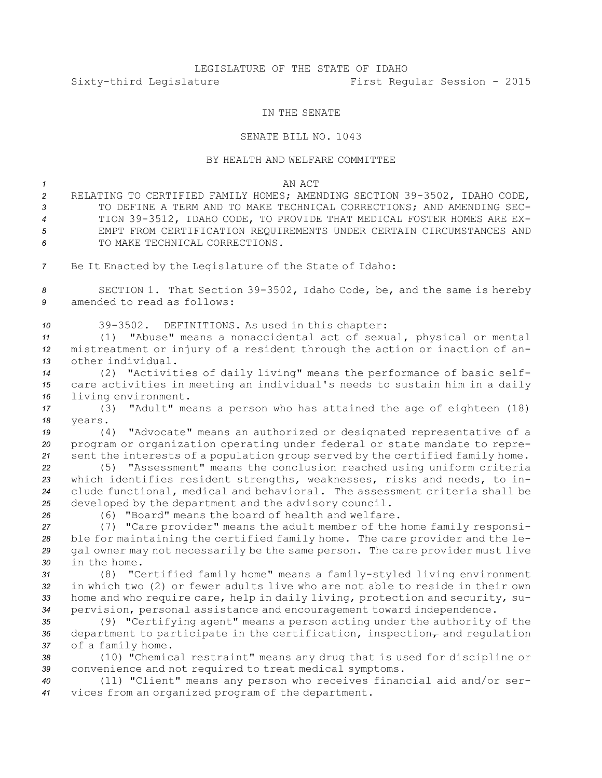## LEGISLATURE OF THE STATE OF IDAHO Sixty-third Legislature First Regular Session - 2015

## IN THE SENATE

## SENATE BILL NO. 1043

## BY HEALTH AND WELFARE COMMITTEE

*1* AN ACT

- *<sup>2</sup>* RELATING TO CERTIFIED FAMILY HOMES; AMENDING SECTION 39-3502, IDAHO CODE, *3* TO DEFINE A TERM AND TO MAKE TECHNICAL CORRECTIONS; AND AMENDING SEC-*<sup>4</sup>* TION 39-3512, IDAHO CODE, TO PROVIDE THAT MEDICAL FOSTER HOMES ARE EX-*5* EMPT FROM CERTIFICATION REQUIREMENTS UNDER CERTAIN CIRCUMSTANCES AND *6* TO MAKE TECHNICAL CORRECTIONS.
- *<sup>7</sup>* Be It Enacted by the Legislature of the State of Idaho:

*<sup>8</sup>* SECTION 1. That Section 39-3502, Idaho Code, be, and the same is hereby *9* amended to read as follows:

*<sup>10</sup>* 39-3502. DEFINITIONS. As used in this chapter:

*<sup>11</sup>* (1) "Abuse" means <sup>a</sup> nonaccidental act of sexual, physical or mental *<sup>12</sup>* mistreatment or injury of <sup>a</sup> resident through the action or inaction of an-*13* other individual.

*<sup>14</sup>* (2) "Activities of daily living" means the performance of basic self-*<sup>15</sup>* care activities in meeting an individual's needs to sustain him in <sup>a</sup> daily *<sup>16</sup>* living environment.

*<sup>17</sup>* (3) "Adult" means <sup>a</sup> person who has attained the age of eighteen (18) *18* years.

*<sup>19</sup>* (4) "Advocate" means an authorized or designated representative of <sup>a</sup> *<sup>20</sup>* program or organization operating under federal or state mandate to repre-*<sup>21</sup>* sent the interests of <sup>a</sup> population group served by the certified family home.

 (5) "Assessment" means the conclusion reached using uniform criteria which identifies resident strengths, weaknesses, risks and needs, to in- clude functional, medical and behavioral. The assessment criteria shall be developed by the department and the advisory council.

*26* (6) "Board" means the board of health and welfare.

 (7) "Care provider" means the adult member of the home family responsi- ble for maintaining the certified family home. The care provider and the le- gal owner may not necessarily be the same person. The care provider must live in the home.

 (8) "Certified family home" means <sup>a</sup> family-styled living environment in which two (2) or fewer adults live who are not able to reside in their own home and who require care, help in daily living, protection and security, su-pervision, personal assistance and encouragement toward independence.

*<sup>35</sup>* (9) "Certifying agent" means <sup>a</sup> person acting under the authority of the 36 department to participate in the certification, inspection<sub>7</sub> and regulation *<sup>37</sup>* of <sup>a</sup> family home.

*<sup>38</sup>* (10) "Chemical restraint" means any drug that is used for discipline or *<sup>39</sup>* convenience and not required to treat medical symptoms.

*<sup>40</sup>* (11) "Client" means any person who receives financial aid and/or ser-*<sup>41</sup>* vices from an organized program of the department.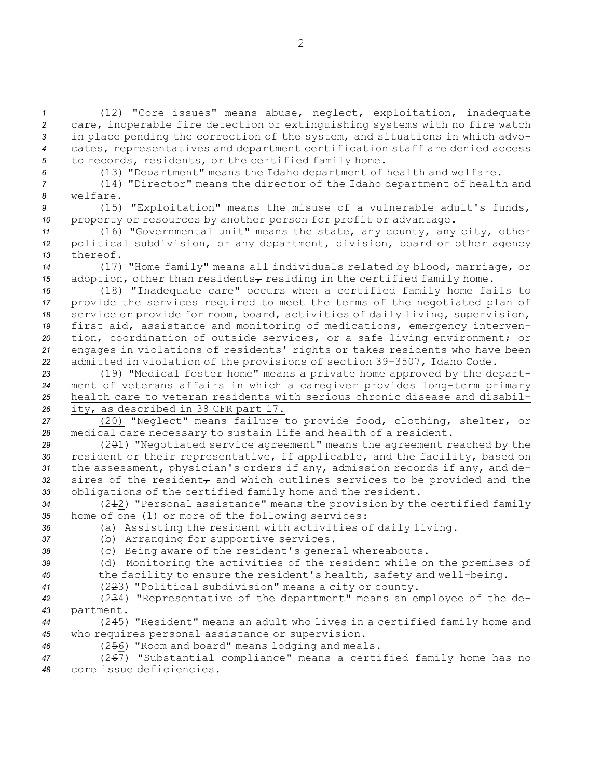(12) "Core issues" means abuse, neglect, exploitation, inadequate care, inoperable fire detection or extinguishing systems with no fire watch in place pending the correction of the system, and situations in which advo- cates, representatives and department certification staff are denied access 5 to records, residents<sub> $\tau$ </sub> or the certified family home.

*<sup>6</sup>* (13) "Department" means the Idaho department of health and welfare.

*<sup>7</sup>* (14) "Director" means the director of the Idaho department of health and *8* welfare.

*<sup>9</sup>* (15) "Exploitation" means the misuse of <sup>a</sup> vulnerable adult's funds, *<sup>10</sup>* property or resources by another person for profit or advantage.

*<sup>11</sup>* (16) "Governmental unit" means the state, any county, any city, other *<sup>12</sup>* political subdivision, or any department, division, board or other agency *13* thereof.

*<sup>14</sup>* (17) "Home family" means all individuals related by blood, marriage, or *15* adoption, other than residents<sub> $\tau$ </sub> residing in the certified family home.

 (18) "Inadequate care" occurs when <sup>a</sup> certified family home fails to provide the services required to meet the terms of the negotiated plan of service or provide for room, board, activities of daily living, supervision, first aid, assistance and monitoring of medications, emergency interven-20 tion, coordination of outside services<sub>r</sub> or a safe living environment; or engages in violations of residents' rights or takes residents who have been admitted in violation of the provisions of section 39-3507, Idaho Code.

 (19) "Medical foster home" means <sup>a</sup> private home approved by the depart- ment of veterans affairs in which <sup>a</sup> caregiver provides long-term primary health care to veteran residents with serious chronic disease and disabil-ity, as described in 38 CFR part 17.

*<sup>27</sup>* (20) "Neglect" means failure to provide food, clothing, shelter, or *<sup>28</sup>* medical care necessary to sustain life and health of <sup>a</sup> resident.

29 (201) "Negotiated service agreement" means the agreement reached by the *<sup>30</sup>* resident or their representative, if applicable, and the facility, based on *<sup>31</sup>* the assessment, physician's orders if any, admission records if any, and de-32 sires of the resident<sub>7</sub> and which outlines services to be provided and the *<sup>33</sup>* obligations of the certified family home and the resident.

34 (242) "Personal assistance" means the provision by the certified family *<sup>35</sup>* home of one (1) or more of the following services:

*<sup>36</sup>* (a) Assisting the resident with activities of daily living.

- *<sup>37</sup>* (b) Arranging for supportive services.
- *<sup>38</sup>* (c) Being aware of the resident's general whereabouts.

*<sup>39</sup>* (d) Monitoring the activities of the resident while on the premises of *<sup>40</sup>* the facility to ensure the resident's health, safety and well-being.

*<sup>41</sup>* (223) "Political subdivision" means <sup>a</sup> city or county.

*<sup>42</sup>* (234) "Representative of the department" means an employee of the de-*43* partment.

*<sup>44</sup>* (245) "Resident" means an adult who lives in <sup>a</sup> certified family home and *<sup>45</sup>* who requires personal assistance or supervision.

*<sup>46</sup>* (256) "Room and board" means lodging and meals.

*<sup>47</sup>* (267) "Substantial compliance" means <sup>a</sup> certified family home has no *48* core issue deficiencies.